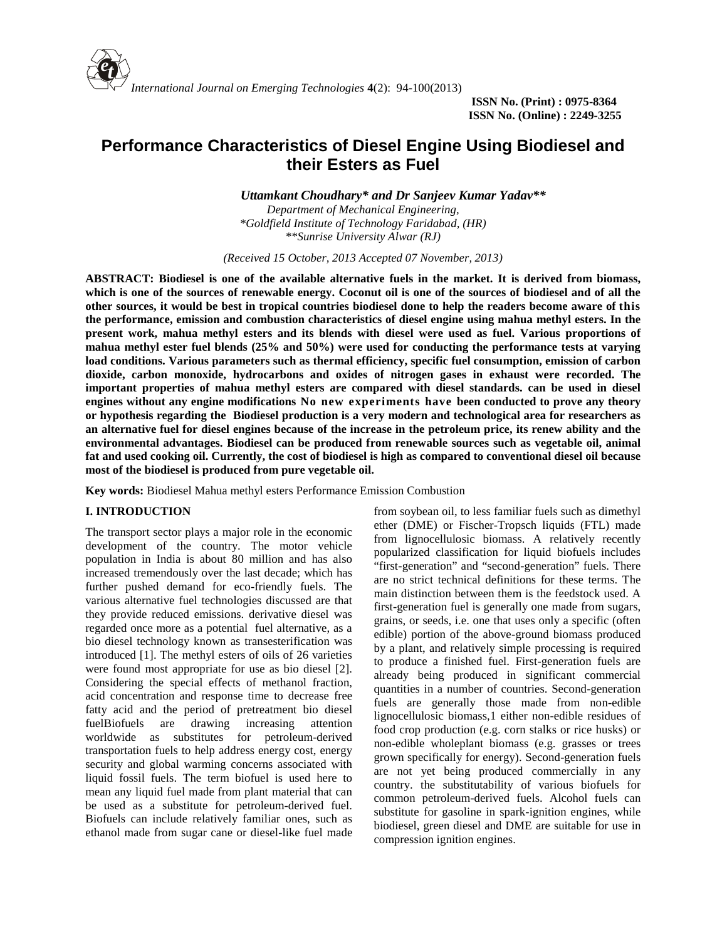

# **Performance Characteristics of Diesel Engine Using Biodiesel and their Esters as Fuel**

*Uttamkant Choudhary\* and Dr Sanjeev Kumar Yadav\*\* Department of Mechanical Engineering, \*Goldfield Institute of Technology Faridabad, (HR)*

*\*\*Sunrise University Alwar (RJ)*

*(Received 15 October, 2013 Accepted 07 November, 2013)*

**ABSTRACT: Biodiesel is one of the available alternative fuels in the market. It is derived from biomass, which is one of the sources of renewable energy. Coconut oil is one of the sources of biodiesel and of all the other sources, it would be best in tropical countries biodiesel done to help the readers become aware of this the performance, emission and combustion characteristics of diesel engine using mahua methyl esters. In the present work, mahua methyl esters and its blends with diesel were used as fuel. Various proportions of mahua methyl ester fuel blends (25% and 50%) were used for conducting the performance tests at varying load conditions. Various parameters such as thermal efficiency, specific fuel consumption, emission of carbon dioxide, carbon monoxide, hydrocarbons and oxides of nitrogen gases in exhaust were recorded. The important properties of mahua methyl esters are compared with diesel standards. can be used in diesel engines without any engine modifications No new experiments have been conducted to prove any theory or hypothesis regarding the Biodiesel production is a very modern and technological area for researchers as an alternative fuel for diesel engines because of the increase in the petroleum price, its renew ability and the environmental advantages. Biodiesel can be produced from renewable sources such as vegetable oil, animal fat and used cooking oil. Currently, the cost of biodiesel is high as compared to conventional diesel oil because most of the biodiesel is produced from pure vegetable oil.**

**Key words:** Biodiesel Mahua methyl esters Performance Emission Combustion

# **I. INTRODUCTION**

The transport sector plays a major role in the economic development of the country. The motor vehicle population in India is about 80 million and has also increased tremendously over the last decade; which has further pushed demand for eco-friendly fuels. The various alternative fuel technologies discussed are that they provide reduced emissions. derivative diesel was regarded once more as a potential fuel alternative, as a bio diesel technology known as transesterification was introduced [1]. The methyl esters of oils of 26 varieties were found most appropriate for use as bio diesel [2]. Considering the special effects of methanol fraction, acid concentration and response time to decrease free fatty acid and the period of pretreatment bio diesel fuelBiofuels are drawing increasing attention worldwide as substitutes for petroleum-derived transportation fuels to help address energy cost, energy security and global warming concerns associated with liquid fossil fuels. The term biofuel is used here to mean any liquid fuel made from plant material that can be used as a substitute for petroleum-derived fuel. Biofuels can include relatively familiar ones, such as ethanol made from sugar cane or diesel-like fuel made from soybean oil, to less familiar fuels such as dimethyl ether (DME) or Fischer-Tropsch liquids (FTL) made from lignocellulosic biomass. A relatively recently popularized classification for liquid biofuels includes "first-generation" and "second-generation" fuels. There are no strict technical definitions for these terms. The main distinction between them is the feedstock used. A first-generation fuel is generally one made from sugars, grains, or seeds, i.e. one that uses only a specific (often edible) portion of the above-ground biomass produced by a plant, and relatively simple processing is required to produce a finished fuel. First-generation fuels are already being produced in significant commercial quantities in a number of countries. Second-generation fuels are generally those made from non-edible lignocellulosic biomass,1 either non-edible residues of food crop production (e.g. corn stalks or rice husks) or non-edible wholeplant biomass (e.g. grasses or trees grown specifically for energy). Second-generation fuels are not yet being produced commercially in any country. the substitutability of various biofuels for common petroleum-derived fuels. Alcohol fuels can substitute for gasoline in spark-ignition engines, while biodiesel, green diesel and DME are suitable for use in compression ignition engines.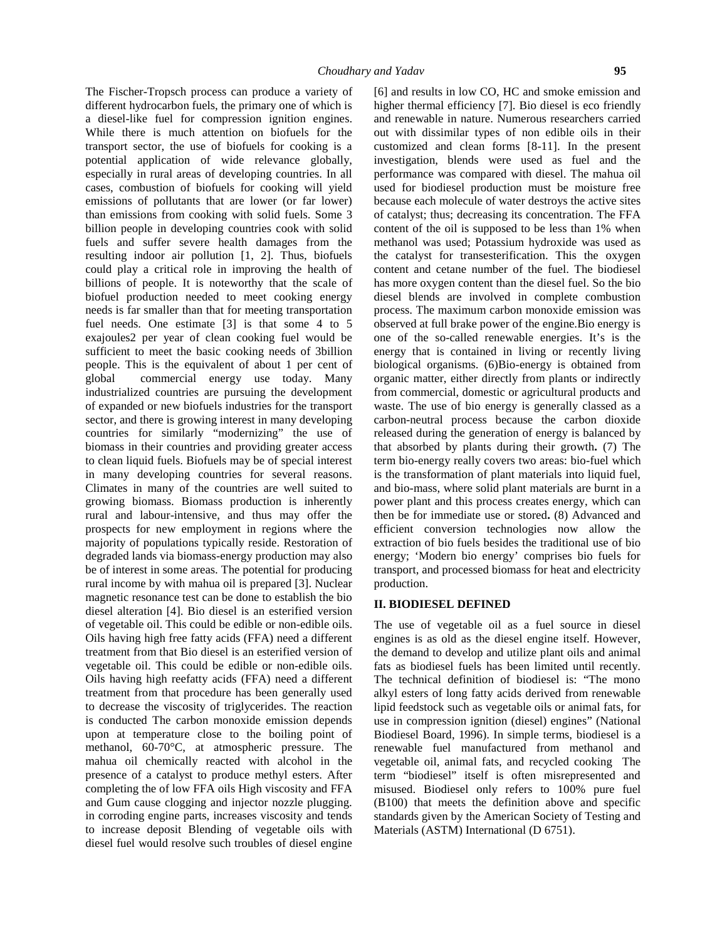The Fischer-Tropsch process can produce a variety of different hydrocarbon fuels, the primary one of which is a diesel-like fuel for compression ignition engines. While there is much attention on biofuels for the transport sector, the use of biofuels for cooking is a potential application of wide relevance globally, especially in rural areas of developing countries. In all cases, combustion of biofuels for cooking will yield emissions of pollutants that are lower (or far lower) than emissions from cooking with solid fuels. Some 3 billion people in developing countries cook with solid fuels and suffer severe health damages from the resulting indoor air pollution [1, 2]. Thus, biofuels could play a critical role in improving the health of billions of people. It is noteworthy that the scale of biofuel production needed to meet cooking energy needs is far smaller than that for meeting transportation fuel needs. One estimate [3] is that some 4 to 5 exajoules2 per year of clean cooking fuel would be sufficient to meet the basic cooking needs of 3billion people. This is the equivalent of about 1 per cent of global commercial energy use today. Many industrialized countries are pursuing the development of expanded or new biofuels industries for the transport sector, and there is growing interest in many developing countries for similarly "modernizing" the use of biomass in their countries and providing greater access to clean liquid fuels. Biofuels may be of special interest in many developing countries for several reasons. Climates in many of the countries are well suited to growing biomass. Biomass production is inherently rural and labour-intensive, and thus may offer the prospects for new employment in regions where the majority of populations typically reside. Restoration of degraded lands via biomass-energy production may also be of interest in some areas. The potential for producing rural income by with mahua oil is prepared [3]. Nuclear magnetic resonance test can be done to establish the bio diesel alteration [4]. Bio diesel is an esterified version of vegetable oil. This could be edible or non-edible oils. Oils having high free fatty acids (FFA) need a different treatment from that Bio diesel is an esterified version of vegetable oil. This could be edible or non-edible oils. Oils having high reefatty acids (FFA) need a different treatment from that procedure has been generally used to decrease the viscosity of triglycerides. The reaction is conducted The carbon monoxide emission depends upon at temperature close to the boiling point of methanol, 60-70°C, at atmospheric pressure. The mahua oil chemically reacted with alcohol in the presence of a catalyst to produce methyl esters. After completing the of low FFA oils High viscosity and FFA and Gum cause clogging and injector nozzle plugging. in corroding engine parts, increases viscosity and tends to increase deposit Blending of vegetable oils with diesel fuel would resolve such troubles of diesel engine

[6] and results in low CO, HC and smoke emission and higher thermal efficiency [7]. Bio diesel is eco friendly and renewable in nature. Numerous researchers carried out with dissimilar types of non edible oils in their customized and clean forms [8-11]. In the present investigation, blends were used as fuel and the performance was compared with diesel. The mahua oil used for biodiesel production must be moisture free because each molecule of water destroys the active sites of catalyst; thus; decreasing its concentration. The FFA content of the oil is supposed to be less than 1% when methanol was used; Potassium hydroxide was used as the catalyst for transesterification. This the oxygen content and cetane number of the fuel. The biodiesel has more oxygen content than the diesel fuel. So the bio diesel blends are involved in complete combustion process. The maximum carbon monoxide emission was observed at full brake power of the engine.Bio energy is one of the so-called renewable energies. It's is the energy that is contained in living or recently living biological organisms. (6)Bio-energy is obtained from organic matter, either directly from plants or indirectly from commercial, domestic or agricultural products and waste. The use of bio energy is generally classed as a carbon-neutral process because the carbon dioxide released during the generation of energy is balanced by that absorbed by plants during their growth**.** (7) The term bio-energy really covers two areas: bio-fuel which is the transformation of plant materials into liquid fuel, and bio-mass, where solid plant materials are burnt in a power plant and this process creates energy, which can then be for immediate use or stored**.** (8) Advanced and efficient conversion technologies now allow the extraction of bio fuels besides the traditional use of bio energy; 'Modern bio energy' comprises bio fuels for transport, and processed biomass for heat and electricity production.

# **II. BIODIESEL DEFINED**

The use of vegetable oil as a fuel source in diesel engines is as old as the diesel engine itself. However, the demand to develop and utilize plant oils and animal fats as biodiesel fuels has been limited until recently. The technical definition of biodiesel is: "The mono alkyl esters of long fatty acids derived from renewable lipid feedstock such as vegetable oils or animal fats, for use in compression ignition (diesel) engines" (National Biodiesel Board, 1996). In simple terms, biodiesel is a renewable fuel manufactured from methanol and vegetable oil, animal fats, and recycled cooking The term "biodiesel" itself is often misrepresented and misused. Biodiesel only refers to 100% pure fuel (B100) that meets the definition above and specific standards given by the American Society of Testing and Materials (ASTM) International (D 6751).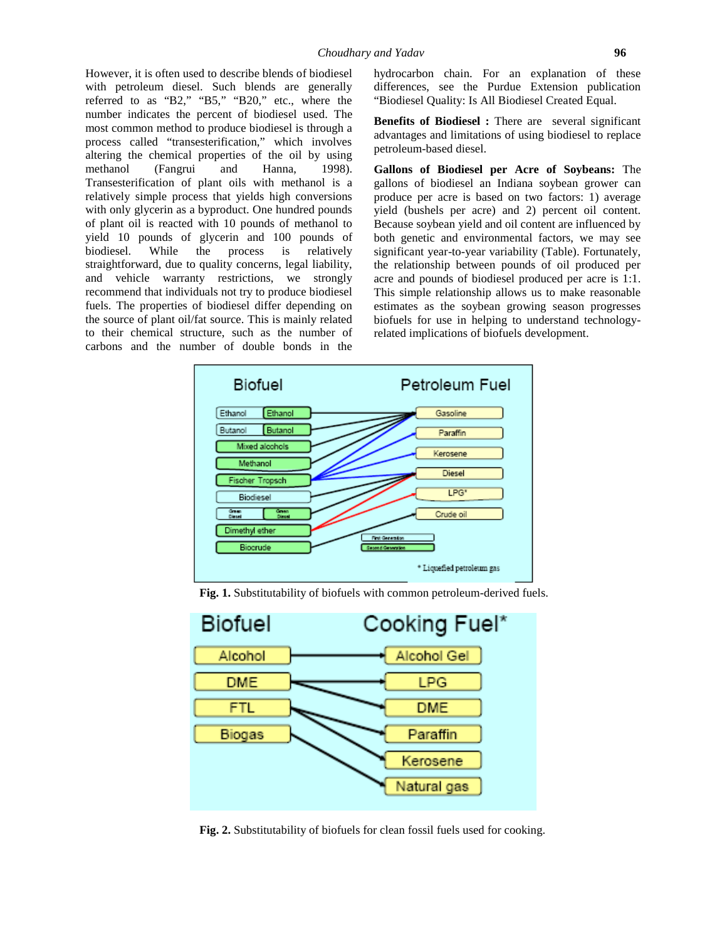However, it is often used to describe blends of biodiesel with petroleum diesel. Such blends are generally referred to as "B2," "B5," "B20," etc., where the number indicates the percent of biodiesel used. The most common method to produce biodiesel is through a process called "transesterification," which involves altering the chemical properties of the oil by using methanol (Fangrui and Hanna, 1998). Transesterification of plant oils with methanol is a relatively simple process that yields high conversions with only glycerin as a byproduct. One hundred pounds of plant oil is reacted with 10 pounds of methanol to yield 10 pounds of glycerin and 100 pounds of biodiesel. While the process is relatively straightforward, due to quality concerns, legal liability, and vehicle warranty restrictions, we strongly recommend that individuals not try to produce biodiesel fuels. The properties of biodiesel differ depending on the source of plant oil/fat source. This is mainly related to their chemical structure, such as the number of carbons and the number of double bonds in the

hydrocarbon chain. For an explanation of these differences, see the Purdue Extension publication "Biodiesel Quality: Is All Biodiesel Created Equal.

**Benefits of Biodiesel :** There are several significant advantages and limitations of using biodiesel to replace petroleum-based diesel.

**Gallons of Biodiesel per Acre of Soybeans:** The gallons of biodiesel an Indiana soybean grower can produce per acre is based on two factors: 1) average yield (bushels per acre) and 2) percent oil content. Because soybean yield and oil content are influenced by both genetic and environmental factors, we may see significant year-to-year variability (Table). Fortunately, the relationship between pounds of oil produced per acre and pounds of biodiesel produced per acre is 1:1. This simple relationship allows us to make reasonable estimates as the soybean growing season progresses biofuels for use in helping to understand technologyrelated implications of biofuels development.



**Fig. 1.** Substitutability of biofuels with common petroleum-derived fuels.



**Fig. 2.** Substitutability of biofuels for clean fossil fuels used for cooking.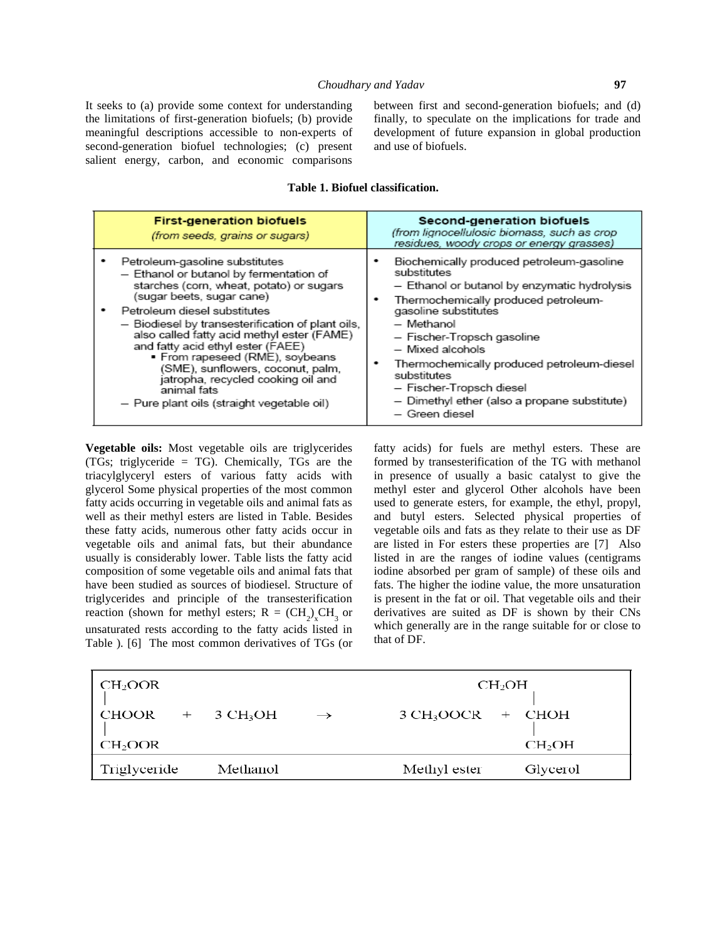It seeks to (a) provide some context for understanding the limitations of first-generation biofuels; (b) provide meaningful descriptions accessible to non-experts of second-generation biofuel technologies; (c) present salient energy, carbon, and economic comparisons between first and second-generation biofuels; and (d) finally, to speculate on the implications for trade and development of future expansion in global production and use of biofuels.

# **Table 1. Biofuel classification.**

| <b>First-generation biofuels</b><br>(from seeds, grains or sugars) | Second-generation biofuels<br>(from lignocellulosic biomass, such as crop<br>residues, woody crops or energy grasses) |
|--------------------------------------------------------------------|-----------------------------------------------------------------------------------------------------------------------|
| Petroleum-gasoline substitutes                                     | Biochemically produced petroleum-gasoline                                                                             |
| - Ethanol or butanol by fermentation of                            | substitutes                                                                                                           |
| starches (corn, wheat, potato) or sugars                           | - Ethanol or butanol by enzymatic hydrolysis                                                                          |
| (sugar beets, sugar cane)                                          | Thermochemically produced petroleum-                                                                                  |
| Petroleum diesel substitutes                                       | gasoline substitutes                                                                                                  |
| - Biodiesel by transesterification of plant oils,                  | - Methanol                                                                                                            |
| also called fatty acid methyl ester (FAME)                         | — Fischer-Tropsch gasoline                                                                                            |
| and fatty acid ethyl ester (FAEE)                                  | - Mixed alcohols                                                                                                      |
| ■ From rapeseed (RME), soybeans                                    | Thermochemically produced petroleum-diesel                                                                            |
| (SME), sunflowers, coconut, palm,                                  | substitutes                                                                                                           |
| jatropha, recycled cooking oil and                                 | - Fischer-Tropsch diesel                                                                                              |
| animal fats                                                        | - Dimethyl ether (also a propane substitute)                                                                          |
| - Pure plant oils (straight vegetable oil)                         | – Green diesel                                                                                                        |

**Vegetable oils:** Most vegetable oils are triglycerides (TGs; triglyceride = TG). Chemically, TGs are the triacylglyceryl esters of various fatty acids with glycerol Some physical properties of the most common fatty acids occurring in vegetable oils and animal fats as well as their methyl esters are listed in Table. Besides these fatty acids, numerous other fatty acids occur in vegetable oils and animal fats, but their abundance usually is considerably lower. Table lists the fatty acid composition of some vegetable oils and animal fats that have been studied as sources of biodiesel. Structure of triglycerides and principle of the transesterification reaction (shown for methyl esters;  $R = (CH_2)_xCH_3$  or do unsaturated rests according to the fatty acids listed in Table ). [6] The most common derivatives of TGs (or

fatty acids) for fuels are methyl esters. These are formed by transesterification of the TG with methanol in presence of usually a basic catalyst to give the methyl ester and glycerol Other alcohols have been used to generate esters, for example, the ethyl, propyl, and butyl esters. Selected physical properties of vegetable oils and fats as they relate to their use as DF are listed in For esters these properties are [7] Also listed in are the ranges of iodine values (centigrams iodine absorbed per gram of sample) of these oils and fats. The higher the iodine value, the more unsaturation is present in the fat or oil. That vegetable oils and their derivatives are suited as DF is shown by their CNs which generally are in the range suitable for or close to that of DF.

| CH <sub>2</sub> OOR |          | $CH_2OH$      |                          |  |
|---------------------|----------|---------------|--------------------------|--|
| $CHOOR + 3 CH3OH$   |          | $\rightarrow$ | $3 CH3OOCR + CHOH$       |  |
| CH <sub>2</sub> OOR |          |               | CH <sub>2</sub> OH       |  |
| Triglyceride        | Methanol |               | Methyl ester<br>Glycerol |  |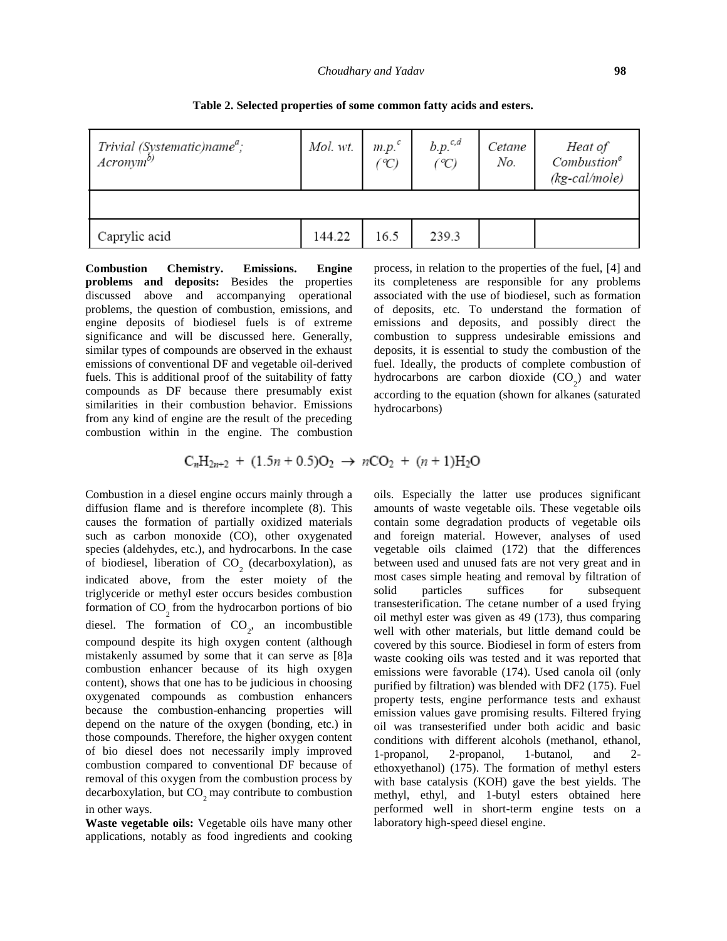| Trivial (Systematic)name <sup>a</sup> ;<br>Acronym <sup>b)</sup> | Mol. wt. | $m.p.^c$<br>°C) | $b.p.^{c,d}$<br>$({}^{\circ}C)$ | Cetane<br>No. | Heat of<br>Combustion <sup>e</sup><br>$(kg\text{-}cal/mole)$ |
|------------------------------------------------------------------|----------|-----------------|---------------------------------|---------------|--------------------------------------------------------------|
|                                                                  |          |                 |                                 |               |                                                              |
| Caprylic acid                                                    | 144.22   | 16.5            | 239.3                           |               |                                                              |

**Table 2. Selected properties of some common fatty acids and esters.**

**Combustion Chemistry. Emissions. Engine problems and deposits:** Besides the properties discussed above and accompanying operational problems, the question of combustion, emissions, and engine deposits of biodiesel fuels is of extreme significance and will be discussed here. Generally, similar types of compounds are observed in the exhaust emissions of conventional DF and vegetable oil-derived fuels. This is additional proof of the suitability of fatty compounds as DF because there presumably exist similarities in their combustion behavior. Emissions from any kind of engine are the result of the preceding combustion within in the engine. The combustion process, in relation to the properties of the fuel, [4] and its completeness are responsible for any problems associated with the use of biodiesel, such as formation of deposits, etc. To understand the formation of emissions and deposits, and possibly direct the combustion to suppress undesirable emissions and deposits, it is essential to study the combustion of the fuel. Ideally, the products of complete combustion of hydrocarbons are carbon dioxide  $(CO_2)$  and water according to the equation (shown for alkanes (saturated hydrocarbons)

$$
C_nH_{2n+2}
$$
 +  $(1.5n + 0.5)O_2$   $\rightarrow$   $nCO_2$  +  $(n + 1)H_2O$ 

Combustion in a diesel engine occurs mainly through a diffusion flame and is therefore incomplete (8). This causes the formation of partially oxidized materials such as carbon monoxide (CO), other oxygenated species (aldehydes, etc.), and hydrocarbons. In the case of biodiesel, liberation of CO<sub>2</sub> (decarboxylation), as indicated above, from the ester moiety of the most triglyceride or methyl ester occurs besides combustion formation of  $CO<sub>2</sub>$  from the hydrocarbon portions of bio diesel. The formation of  $CO_2$ , an incombustible well compound despite its high oxygen content (although mistakenly assumed by some that it can serve as [8]a combustion enhancer because of its high oxygen content), shows that one has to be judicious in choosing oxygenated compounds as combustion enhancers because the combustion-enhancing properties will depend on the nature of the oxygen (bonding, etc.) in those compounds. Therefore, the higher oxygen content of bio diesel does not necessarily imply improved combustion compared to conventional DF because of removal of this oxygen from the combustion process by  $decarboxylation, but CO<sub>2</sub> may contribute to combustion$ in other ways.

**Waste vegetable oils:** Vegetable oils have many other applications, notably as food ingredients and cooking oils. Especially the latter use produces significant amounts of waste vegetable oils. These vegetable oils contain some degradation products of vegetable oils and foreign material. However, analyses of used vegetable oils claimed (172) that the differences between used and unused fats are not very great and in most cases simple heating and removal by filtration of particles suffices for subsequent transesterification. The cetane number of a used frying oil methyl ester was given as 49 (173), thus comparing well with other materials, but little demand could be covered by this source. Biodiesel in form of esters from waste cooking oils was tested and it was reported that emissions were favorable (174). Used canola oil (only purified by filtration) was blended with DF2 (175). Fuel property tests, engine performance tests and exhaust emission values gave promising results. Filtered frying oil was transesterified under both acidic and basic conditions with different alcohols (methanol, ethanol, 1-propanol, 2-propanol, 1-butanol, and 2 ethoxyethanol) (175). The formation of methyl esters with base catalysis (KOH) gave the best yields. The methyl, ethyl, and 1-butyl esters obtained here performed well in short-term engine tests on a laboratory high-speed diesel engine.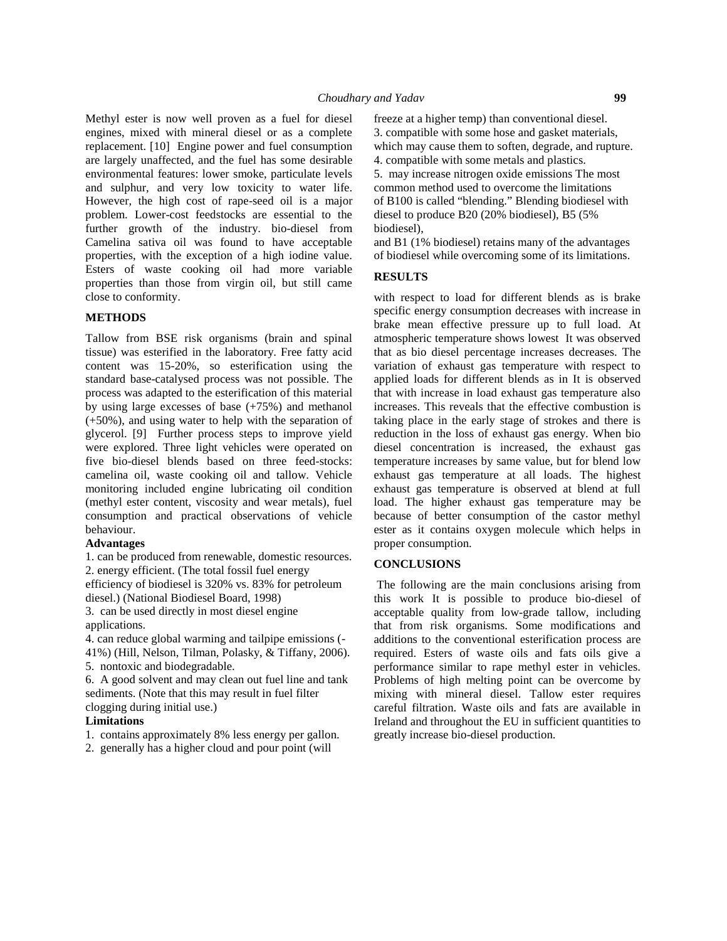Methyl ester is now well proven as a fuel for diesel engines, mixed with mineral diesel or as a complete replacement. [10] Engine power and fuel consumption are largely unaffected, and the fuel has some desirable environmental features: lower smoke, particulate levels and sulphur, and very low toxicity to water life. However, the high cost of rape-seed oil is a major problem. Lower-cost feedstocks are essential to the further growth of the industry. bio-diesel from Camelina sativa oil was found to have acceptable properties, with the exception of a high iodine value. Esters of waste cooking oil had more variable properties than those from virgin oil, but still came close to conformity.

### **METHODS**

Tallow from BSE risk organisms (brain and spinal tissue) was esterified in the laboratory. Free fatty acid content was 15-20%, so esterification using the standard base-catalysed process was not possible. The process was adapted to the esterification of this material by using large excesses of base (+75%) and methanol (+50%), and using water to help with the separation of glycerol. [9] Further process steps to improve yield were explored. Three light vehicles were operated on five bio-diesel blends based on three feed-stocks: camelina oil, waste cooking oil and tallow. Vehicle monitoring included engine lubricating oil condition (methyl ester content, viscosity and wear metals), fuel consumption and practical observations of vehicle behaviour.

### **Advantages**

1. can be produced from renewable, domestic resources. 2. energy efficient. (The total fossil fuel energy efficiency of biodiesel is 320% vs. 83% for petroleum

diesel.) (National Biodiesel Board, 1998)

3. can be used directly in most diesel engine applications.

4. can reduce global warming and tailpipe emissions (- 41%) (Hill, Nelson, Tilman, Polasky, & Tiffany, 2006). 5. nontoxic and biodegradable.

6. A good solvent and may clean out fuel line and tank sediments. (Note that this may result in fuel filter clogging during initial use.)

#### **Limitations**

1. contains approximately 8% less energy per gallon.

2. generally has a higher cloud and pour point (will

freeze at a higher temp) than conventional diesel. 3. compatible with some hose and gasket materials, which may cause them to soften, degrade, and rupture. 4. compatible with some metals and plastics. 5. may increase nitrogen oxide emissions The most common method used to overcome the limitations of B100 is called "blending." Blending biodiesel with diesel to produce B20 (20% biodiesel), B5 (5% biodiesel),

and B1 (1% biodiesel) retains many of the advantages of biodiesel while overcoming some of its limitations.

#### **RESULTS**

with respect to load for different blends as is brake specific energy consumption decreases with increase in brake mean effective pressure up to full load. At atmospheric temperature shows lowest It was observed that as bio diesel percentage increases decreases. The variation of exhaust gas temperature with respect to applied loads for different blends as in It is observed that with increase in load exhaust gas temperature also increases. This reveals that the effective combustion is taking place in the early stage of strokes and there is reduction in the loss of exhaust gas energy. When bio diesel concentration is increased, the exhaust gas temperature increases by same value, but for blend low exhaust gas temperature at all loads. The highest exhaust gas temperature is observed at blend at full load. The higher exhaust gas temperature may be because of better consumption of the castor methyl ester as it contains oxygen molecule which helps in proper consumption.

#### **CONCLUSIONS**

The following are the main conclusions arising from this work It is possible to produce bio-diesel of acceptable quality from low-grade tallow, including that from risk organisms. Some modifications and additions to the conventional esterification process are required. Esters of waste oils and fats oils give a performance similar to rape methyl ester in vehicles. Problems of high melting point can be overcome by mixing with mineral diesel. Tallow ester requires careful filtration. Waste oils and fats are available in Ireland and throughout the EU in sufficient quantities to greatly increase bio-diesel production.